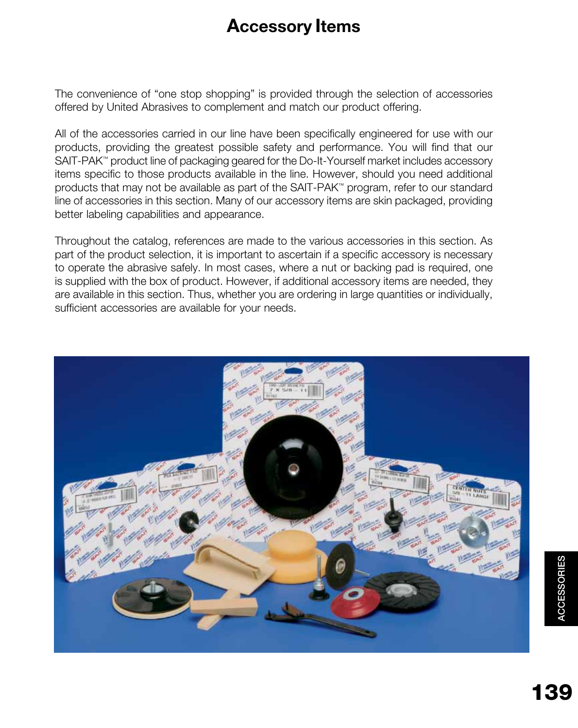# **Accessory Items**

The convenience of "one stop shopping" is provided through the selection of accessories offered by United Abrasives to complement and match our product offering.

All of the accessories carried in our line have been specifically engineered for use with our products, providing the greatest possible safety and performance. You will find that our SAIT-PAK™ product line of packaging geared for the Do-It-Yourself market includes accessory items specific to those products available in the line. However, should you need additional products that may not be available as part of the SAIT-PAK™ program, refer to our standard line of accessories in this section. Many of our accessory items are skin packaged, providing better labeling capabilities and appearance.

Throughout the catalog, references are made to the various accessories in this section. As part of the product selection, it is important to ascertain if a specific accessory is necessary to operate the abrasive safely. In most cases, where a nut or backing pad is required, one is supplied with the box of product. However, if additional accessory items are needed, they are available in this section. Thus, whether you are ordering in large quantities or individually, sufficient accessories are available for your needs.

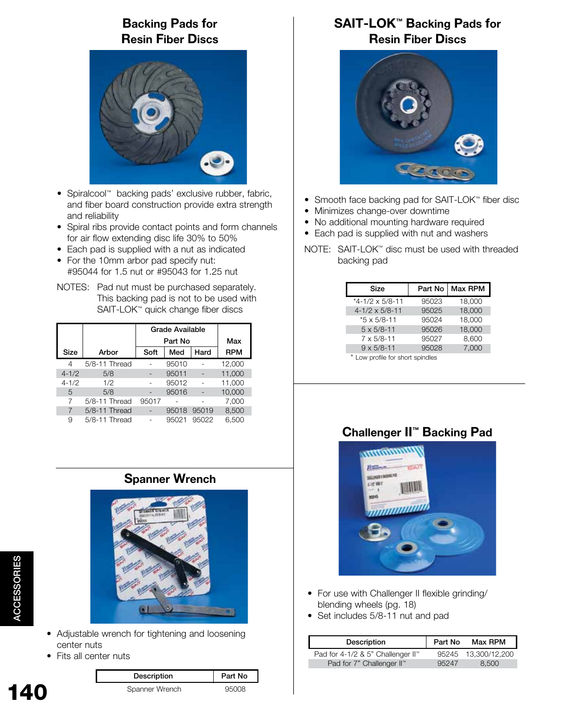# **Backing Pads for Resin Fiber Discs**



- Spiralcool™ backing pads' exclusive rubber, fabric, and fiber board construction provide extra strength and reliability
- Spiral ribs provide contact points and form channels for air flow extending disc life 30% to 50%
- Each pad is supplied with a nut as indicated
- For the 10mm arbor pad specify nut: #95044 for 1.5 nut or #95043 for 1.25 nut
- NOTES: Pad nut must be purchased separately. This backing pad is not to be used with SAIT-LOK™ quick change fiber discs

|           |               | <b>Grade Available</b> |       |       |            |
|-----------|---------------|------------------------|-------|-------|------------|
|           |               | Part No                |       | Max   |            |
| Size      | Arbor         | Soft                   | Med   | Hard  | <b>RPM</b> |
| 4         | 5/8-11 Thread |                        | 95010 |       | 12.000     |
| $4 - 1/2$ | 5/8           |                        | 95011 |       | 11,000     |
| $4 - 1/2$ | 1/2           |                        | 95012 |       | 11,000     |
| 5         | 5/8           |                        | 95016 |       | 10,000     |
| 7         | 5/8-11 Thread | 95017                  |       |       | 7,000      |
| 7         | 5/8-11 Thread |                        | 95018 | 95019 | 8,500      |
| 9         | 5/8-11 Thread |                        | 95021 | 95022 | 6,500      |

# **Spanner Wrench**



- Adjustable wrench for tightening and loosening center nuts
- Fits all center nuts

ACCESSORIES

**ACCESSORIES** 

| Description    | Part No |
|----------------|---------|
| Spanner Wrench | 95008   |

# **SAIT-LOK™ Backing Pads for Resin Fiber Discs**



- Smooth face backing pad for SAIT-LOK™ fiber disc
- Minimizes change-over downtime
- No additional mounting hardware required
- Each pad is supplied with nut and washers
- NOTE: SAIT-LOK™ disc must be used with threaded backing pad

| Size                               | Part No | Max RPM |
|------------------------------------|---------|---------|
| $*4-1/2 \times 5/8-11$             | 95023   | 18,000  |
| $4 - 1/2 \times 5/8 - 11$          | 95025   | 18,000  |
| $*5 \times 5/8 - 11$               | 95024   | 18.000  |
| $5 \times 5/8 - 11$                | 95026   | 18,000  |
| $7 \times 5/8 - 11$                | 95027   | 8,600   |
| $9 \times 5/8 - 11$                | 95028   | 7,000   |
| $*$ Low profile for abort apindles |         |         |

\* Low profile for short spindles

# **Challenger II™ Backing Pad**



- For use with Challenger II flexible grinding/ blending wheels (pg. 18)
- Set includes 5/8-11 nut and pad

| Description                       | Part No | Max RPM       |
|-----------------------------------|---------|---------------|
| Pad for 4-1/2 & 5" Challenger II™ | 95245   | 13,300/12,200 |
| Pad for 7" Challenger II™         | 95247   | 8.500         |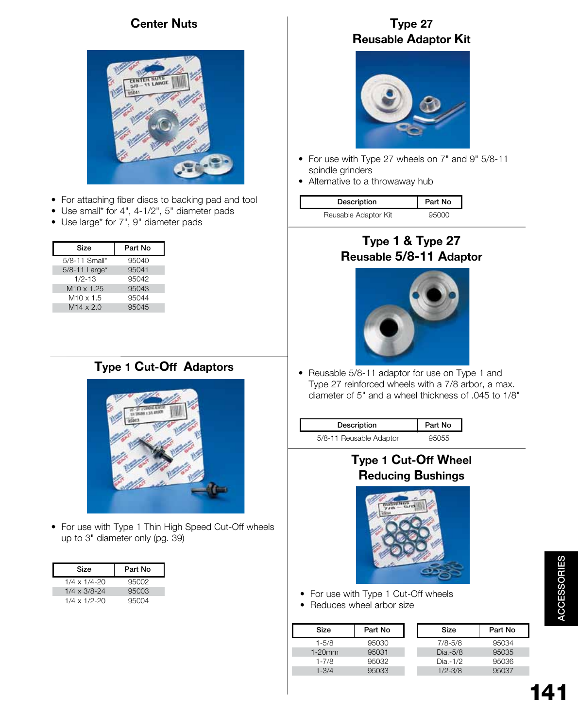# **Center Nuts**



- For attaching fiber discs to backing pad and tool
- Use small\* for 4", 4-1/2", 5" diameter pads
- Use large\* for 7", 9" diameter pads

| Size                   | Part No |
|------------------------|---------|
| 5/8-11 Small*          | 95040   |
| 5/8-11 Large*          | 95041   |
| $1/2 - 13$             | 95042   |
| M <sub>10</sub> x 1.25 | 95043   |
| $M10 \times 1.5$       | 95044   |
| $M14 \times 2.0$       | 95045   |
|                        |         |

# **Type 1 Cut-Off Adaptors**



• For use with Type 1 Thin High Speed Cut-Off wheels up to 3" diameter only (pg. 39)

| Size                  | Part No |
|-----------------------|---------|
| $1/4 \times 1/4 - 20$ | 95002   |
| $1/4 \times 3/8 - 24$ | 95003   |
| $1/4 \times 1/2 - 20$ | 95004   |

#### **Type 27 Reusable Adaptor Kit**



- For use with Type 27 wheels on 7" and 9" 5/8-11 spindle grinders
- Alternative to a throwaway hub

| Description          | Part No |
|----------------------|---------|
| Reusable Adaptor Kit | arnnn   |

#### **Type 1 & Type 27 Reusable 5/8-11 Adaptor**



• Reusable 5/8-11 adaptor for use on Type 1 and Type 27 reinforced wheels with a 7/8 arbor, a max. diameter of 5" and a wheel thickness of .045 to 1/8"

| Description             | Part No |
|-------------------------|---------|
| 5/8-11 Reusable Adaptor | 95055   |

# **Type 1 Cut-Off Wheel Reducing Bushings**



- For use with Type 1 Cut-Off wheels
- Reduces wheel arbor size

| Size      | Part No | Size        | Part No |
|-----------|---------|-------------|---------|
| $1 - 5/8$ | 95030   | $7/8 - 5/8$ | 95034   |
| $1-20$ mm | 95031   | $Dia.-5/8$  | 95035   |
| $1 - 7/8$ | 95032   | $Dia.-1/2$  | 95036   |
| $1 - 3/4$ | 95033   | $1/2 - 3/8$ | 95037   |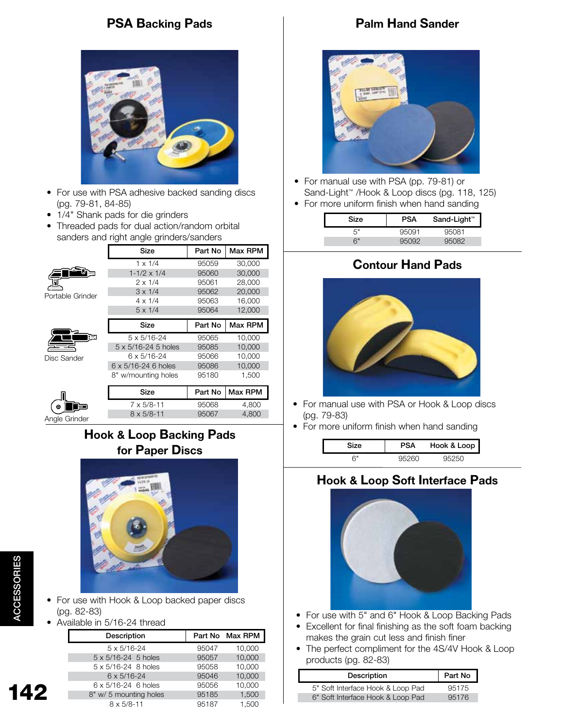# **PSA Backing Pads**



- For use with PSA adhesive backed sanding discs (pg. 79-81, 84-85)
- 1/4" Shank pads for die grinders
- Threaded pads for dual action/random orbital sanders and right angle grinders/sanders

|                  | Size                        | Part No | Max RPM |
|------------------|-----------------------------|---------|---------|
|                  | $1 \times 1/4$              | 95059   | 30,000  |
|                  | $1 - 1/2 \times 1/4$        | 95060   | 30,000  |
|                  | $2 \times 1/4$              | 95061   | 28,000  |
| Portable Grinder | $3 \times 1/4$              | 95062   | 20,000  |
|                  | $4 \times 1/4$              | 95063   | 16,000  |
|                  | $5 \times 1/4$              | 95064   | 12,000  |
|                  | <b>Size</b>                 | Part No | Max RPM |
|                  | 5 x 5/16-24                 | 95065   | 10,000  |
|                  | 5 x 5/16-24 5 holes         | 95085   | 10,000  |
| Disc Sander      | 6 x 5/16-24                 | 95066   | 10,000  |
|                  | $6 \times 5/16 - 246$ holes | 95086   | 10,000  |
|                  | 8" w/mounting holes         | 95180   | 1,500   |
|                  |                             |         |         |
|                  | Size                        | Part No | Max RPM |
|                  | $7 \times 5/8 - 11$         | 95068   | 4,800   |

# **Hook & Loop Backing Pads for Paper Discs**



- For use with Hook & Loop backed paper discs (pg. 82-83)
- Available in 5/16-24 thread

| Description                  |       | Part No Max RPM |
|------------------------------|-------|-----------------|
| $5 \times 5/16 - 24$         | 95047 | 10,000          |
| $5 \times 5/16 - 24$ 5 holes | 95057 | 10,000          |
| $5 \times 5/16 - 24$ 8 holes | 95058 | 10,000          |
| $6 \times 5/16 - 24$         | 95046 | 10,000          |
| 6 x 5/16-24 6 holes          | 95056 | 10,000          |
| 8" w/ 5 mounting holes       | 95185 | 1,500           |
| $8 \times 5/8 - 11$          | 95187 | 1.500           |

# **Palm Hand Sander**



- For manual use with PSA (pp. 79-81) or Sand-Light™ /Hook & Loop discs (pg. 118, 125)
- For more uniform finish when hand sanding

| Size | <b>PSA</b> | Sand-Light™ |
|------|------------|-------------|
| г"   | 95091      | 95081       |
| ឝ"   | פחאי       | 182         |

# **Contour Hand Pads**



- For manual use with PSA or Hook & Loop discs (pg. 79-83)
- For more uniform finish when hand sanding

| Size                       | <b>PSA</b> | Hook & Loop |
|----------------------------|------------|-------------|
| $\mathbb{C}^{\mathsf{II}}$ |            |             |

#### **Hook & Loop Soft Interface Pads**



- For use with 5" and 6" Hook & Loop Backing Pads
- Excellent for final finishing as the soft foam backing makes the grain cut less and finish finer
- The perfect compliment for the 4S/4V Hook & Loop products (pg. 82-83)

| Description                       | Part No |
|-----------------------------------|---------|
| 5" Soft Interface Hook & Loop Pad | 95175   |
| 6" Soft Interface Hook & Loop Pad | 95176   |

142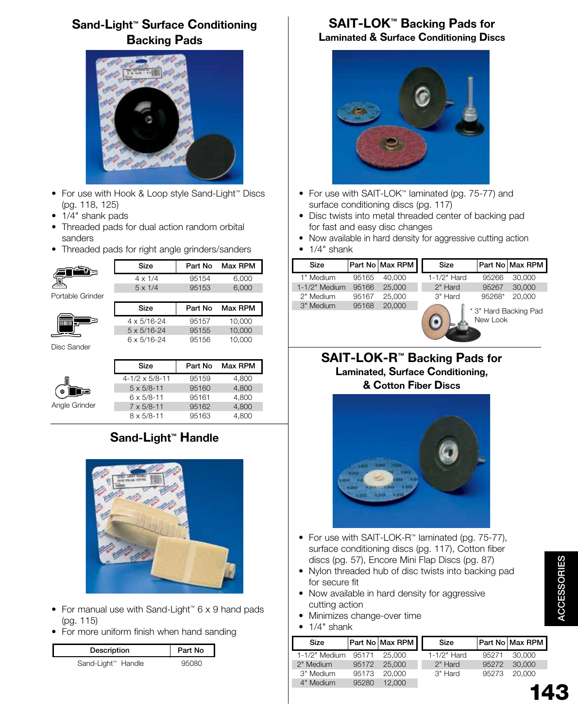# **Sand-Light™ Surface Conditioning Backing Pads**



- For use with Hook & Loop style Sand-Light™ Discs (pg. 118, 125)
- 1/4" shank pads
- Threaded pads for dual action random orbital sanders
- Threaded pads for right angle grinders/sanders



|                  | Size           | Part No | Max RPM |
|------------------|----------------|---------|---------|
|                  | $4 \times 1/4$ | 95154   | 6.000   |
|                  | $5 \times 1/4$ | 95153   | 6.000   |
| Portable Grinder |                |         |         |
|                  | Size           | Part No | Max RPM |

 4 x 5/16-24 95157 10,000 5 x 5/16-24 95155 10,000 6 x 5/16-24 95156 10,000

Disc Sander

|               | Size                      | Part No | Max RPM |
|---------------|---------------------------|---------|---------|
|               | $4 - 1/2 \times 5/8 - 11$ | 95159   | 4,800   |
| Θ<br>⊟∃       | $5 \times 5/8 - 11$       | 95160   | 4,800   |
|               | $6 \times 5/8 - 11$       | 95161   | 4,800   |
| Angle Grinder | $7 \times 5/8 - 11$       | 95162   | 4,800   |
|               | $8 \times 5/8 - 11$       | 95163   | 4.800   |

# **Sand-Light™ Handle**



- For manual use with Sand-Light™ 6 x 9 hand pads (pg. 115)
- For more uniform finish when hand sanding

| Description        | Part No |
|--------------------|---------|
| Sand-Light™ Handle |         |

#### **SAIT-LOK™ Backing Pads for Laminated & Surface Conditioning Discs**



- For use with SAIT-LOK™ laminated (pg. 75-77) and surface conditioning discs (pg. 117)
- Disc twists into metal threaded center of backing pad for fast and easy disc changes
- Now available in hard density for aggressive cutting action
- $\bullet$  1/4" shank

| Size            |       | Part No Max RPM | Size        |          | Part No   Max RPM     |
|-----------------|-------|-----------------|-------------|----------|-----------------------|
| 1" Medium       | 95165 | 40,000          | 1-1/2" Hard | 95266    | 30,000                |
| $1-1/2"$ Medium | 95166 | 25,000          | 2" Hard     | 95267    | 30,000                |
| 2" Medium       | 95167 | 25,000          | 3" Hard     | 95268*   | 20,000                |
| 3" Medium       | 95168 | 20,000          |             | New Look | * 3" Hard Backing Pad |

#### **SAIT-LOK-R™ Backing Pads for Laminated, Surface Conditioning, & Cotton Fiber Discs**



- For use with SAIT-LOK-R™ laminated (pg. 75-77), surface conditioning discs (pg. 117), Cotton fiber discs (pg. 57), Encore Mini Flap Discs (pg. 87)
- Nylon threaded hub of disc twists into backing pad for secure fit
- Now available in hard density for aggressive cutting action
- Minimizes change-over time
- 1/4" shank

| Size            |       | Part No Max RPM | Size        |       | <b>Part No Max RPM</b> |
|-----------------|-------|-----------------|-------------|-------|------------------------|
| $1-1/2"$ Medium | 95171 | 25,000          | 1-1/2" Hard | 95271 | 30.000                 |
| 2" Medium       | 95172 | 25,000          | 2" Hard     | 95272 | 30,000                 |
| 3" Medium       | 95173 | 20,000          | 3" Hard     | 95273 | 20,000                 |
| 4" Medium       | 95280 | 12,000          |             |       |                        |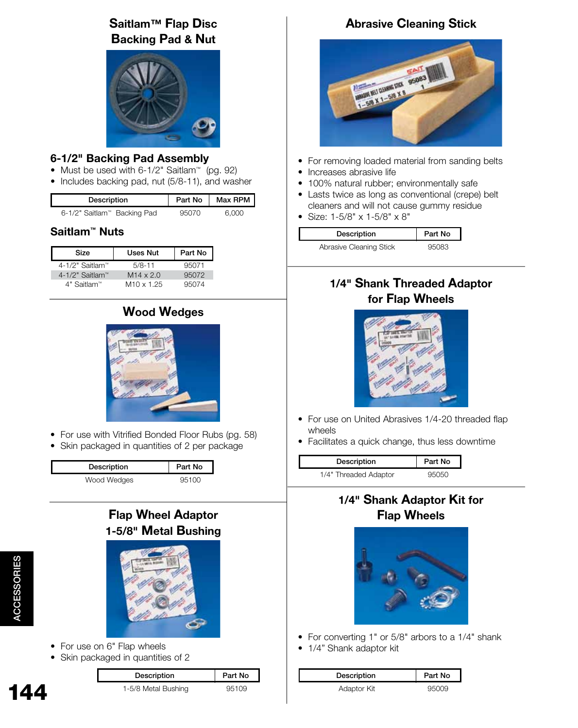# **Saitlam™ Flap Disc Backing Pad & Nut**



#### **6-1/2" Backing Pad Assembly**

- Must be used with 6-1/2" Saitlam™ (pg. 92)
- Includes backing pad, nut (5/8-11), and washer

| Description                 | Part No | Max RPM |
|-----------------------------|---------|---------|
| 6-1/2" Saitlam™ Backing Pad | 95070   | 60 U N  |

#### **Saitlam™ Nuts**

| Size              | Uses Nut          | Part No |
|-------------------|-------------------|---------|
| 4-1/2" Saitlam™   | $5/8 - 11$        | 95071   |
| $4-1/2"$ Saitlam™ | $M14 \times 2.0$  | 95072   |
| 4" Saitlam™       | $M10 \times 1.25$ | 95074   |

# **Wood Wedges**



- For use with Vitrified Bonded Floor Rubs (pg. 58)
- Skin packaged in quantities of 2 per package

| Description | Part No |
|-------------|---------|
| Wood Wedges | 95100   |

# **Flap Wheel Adaptor 1-5/8" Metal Bushing**



- For use on 6" Flap wheels
- Skin packaged in quantities of 2

| Description         | Part No |
|---------------------|---------|
| 1-5/8 Metal Bushing | 95109   |

# **Abrasive Cleaning Stick**



- For removing loaded material from sanding belts
- Increases abrasive life
- 100% natural rubber; environmentally safe
- Lasts twice as long as conventional (crepe) belt cleaners and will not cause gummy residue
- Size: 1-5/8" x 1-5/8" x 8"

| Description             | Part No |
|-------------------------|---------|
| Abrasive Cleaning Stick | 95083   |

# **1/4" Shank Threaded Adaptor for Flap Wheels**



- For use on United Abrasives 1/4-20 threaded flap wheels
- Facilitates a quick change, thus less downtime

| <b>Description</b>    | Part No |
|-----------------------|---------|
| 1/4" Threaded Adaptor |         |

# **1/4" Shank Adaptor Kit for Flap Wheels**



- For converting 1" or 5/8" arbors to a 1/4" shank
- 1/4" Shank adaptor kit

| Description | Part No |
|-------------|---------|
| Adaptor Kit | 95009   |

144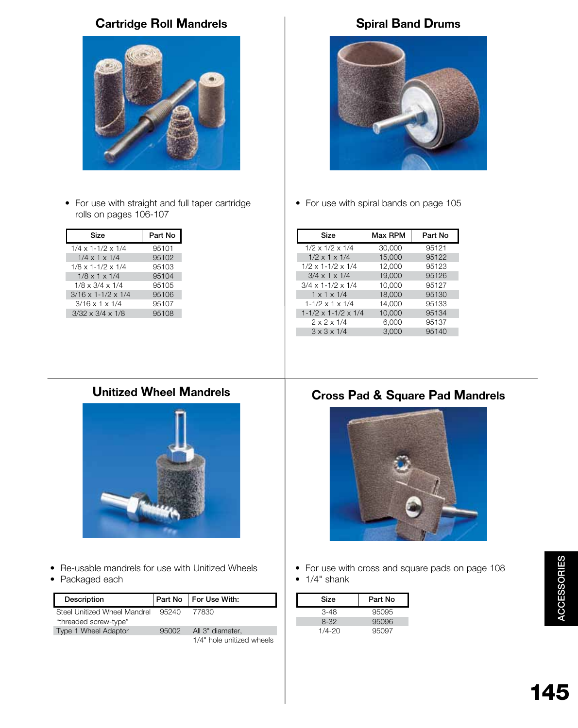# **Cartridge Roll Mandrels Spiral Band Drums**



• For use with straight and full taper cartridge rolls on pages 106-107

| Size                             | Part No |
|----------------------------------|---------|
| $1/4 \times 1 - 1/2 \times 1/4$  | 95101   |
| $1/4 \times 1 \times 1/4$        | 95102   |
| $1/8 \times 1 - 1/2 \times 1/4$  | 95103   |
| $1/8 \times 1 \times 1/4$        | 95104   |
| $1/8 \times 3/4 \times 1/4$      | 95105   |
| $3/16 \times 1 - 1/2 \times 1/4$ | 95106   |
| $3/16 \times 1 \times 1/4$       | 95107   |
| $3/32 \times 3/4 \times 1/8$     | 95108   |
|                                  |         |



• For use with spiral bands on page 105

| Size                                | Max RPM | Part No |
|-------------------------------------|---------|---------|
| $1/2 \times 1/2 \times 1/4$         | 30,000  | 95121   |
| $1/2 \times 1 \times 1/4$           | 15,000  | 95122   |
| $1/2 \times 1 - 1/2 \times 1/4$     | 12.000  | 95123   |
| $3/4 \times 1 \times 1/4$           | 19.000  | 95126   |
| $3/4 \times 1 - 1/2 \times 1/4$     | 10.000  | 95127   |
| $1 \times 1 \times 1/4$             | 18,000  | 95130   |
| $1-1/2 \times 1 \times 1/4$         | 14.000  | 95133   |
| $1 - 1/2 \times 1 - 1/2 \times 1/4$ | 10.000  | 95134   |
| $2 \times 2 \times 1/4$             | 6,000   | 95137   |
| $3 \times 3 \times 1/4$             | 3.000   | 95140   |

# **Unitized Wheel Mandrels**



- Re-usable mandrels for use with Unitized Wheels
- Packaged each

| Description                                           | Part No | For Use With:             |
|-------------------------------------------------------|---------|---------------------------|
| Steel Unitized Wheel Mandrel<br>"threaded screw-type" | 95240   | 77830                     |
| Type 1 Wheel Adaptor                                  | 95002   | All 3" diameter.          |
|                                                       |         | 1/4" hole unitized wheels |

# **Cross Pad & Square Pad Mandrels**



• For use with cross and square pads on page 108  $\bullet$  1/4" shank

| Size       | Part No |
|------------|---------|
| $3-48$     | 95095   |
| $8-32$     | 95096   |
| $1/4 - 20$ | 95097   |